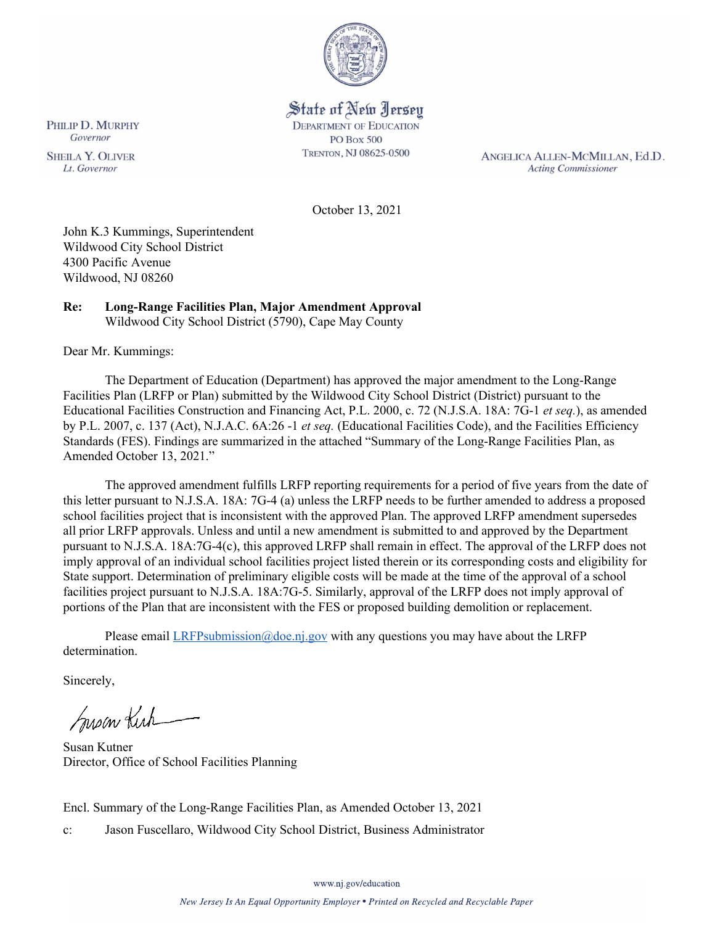

# State of New Jersey **DEPARTMENT OF EDUCATION PO Box 500**

TRENTON, NJ 08625-0500

ANGELICA ALLEN-MCMILLAN, Ed.D. **Acting Commissioner** 

October 13, 2021

John K.3 Kummings, Superintendent Wildwood City School District 4300 Pacific Avenue Wildwood, NJ 08260

#### **Re: Long-Range Facilities Plan, Major Amendment Approval**  Wildwood City School District (5790), Cape May County

Dear Mr. Kummings:

The Department of Education (Department) has approved the major amendment to the Long-Range Facilities Plan (LRFP or Plan) submitted by the Wildwood City School District (District) pursuant to the Educational Facilities Construction and Financing Act, P.L. 2000, c. 72 (N.J.S.A. 18A: 7G-1 *et seq.*), as amended by P.L. 2007, c. 137 (Act), N.J.A.C. 6A:26 -1 *et seq.* (Educational Facilities Code), and the Facilities Efficiency Standards (FES). Findings are summarized in the attached "Summary of the Long-Range Facilities Plan, as Amended October 13, 2021."

The approved amendment fulfills LRFP reporting requirements for a period of five years from the date of this letter pursuant to N.J.S.A. 18A: 7G-4 (a) unless the LRFP needs to be further amended to address a proposed school facilities project that is inconsistent with the approved Plan. The approved LRFP amendment supersedes all prior LRFP approvals. Unless and until a new amendment is submitted to and approved by the Department pursuant to N.J.S.A. 18A:7G-4(c), this approved LRFP shall remain in effect. The approval of the LRFP does not imply approval of an individual school facilities project listed therein or its corresponding costs and eligibility for State support. Determination of preliminary eligible costs will be made at the time of the approval of a school facilities project pursuant to N.J.S.A. 18A:7G-5. Similarly, approval of the LRFP does not imply approval of portions of the Plan that are inconsistent with the FES or proposed building demolition or replacement.

Please email  $LRFP submission@doe.nj.gov$  with any questions you may have about the LRFP determination.

Sincerely,

Susan Kich

Susan Kutner Director, Office of School Facilities Planning

Encl. Summary of the Long-Range Facilities Plan, as Amended October 13, 2021

c: Jason Fuscellaro, Wildwood City School District, Business Administrator

PHILIP D. MURPHY Governor

**SHEILA Y. OLIVER** Lt. Governor

www.nj.gov/education

New Jersey Is An Equal Opportunity Employer . Printed on Recycled and Recyclable Paper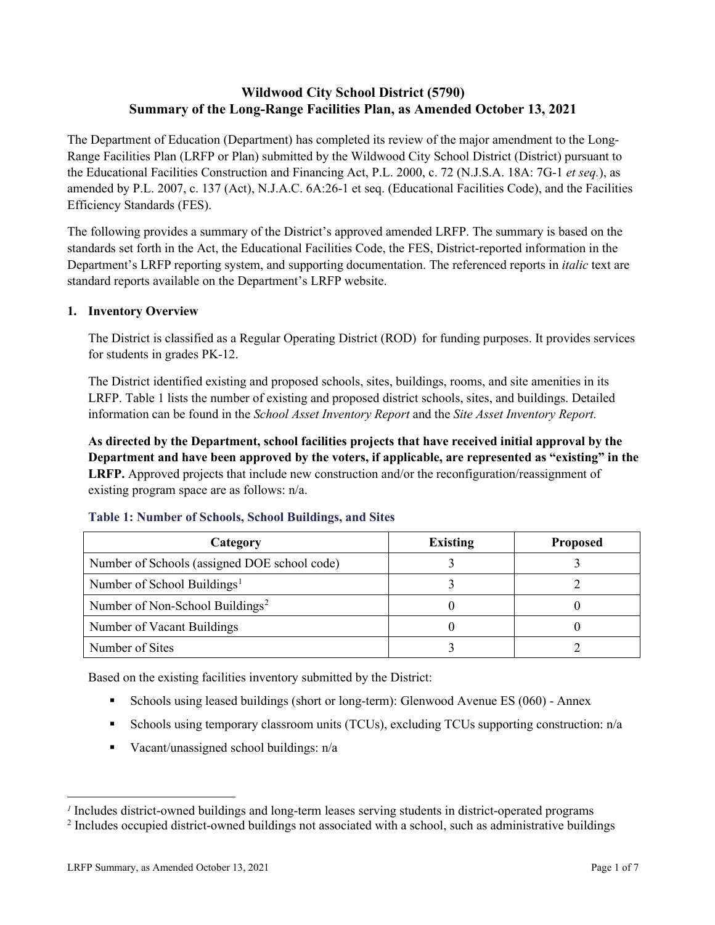# **Wildwood City School District (5790) Summary of the Long-Range Facilities Plan, as Amended October 13, 2021**

The Department of Education (Department) has completed its review of the major amendment to the Long-Range Facilities Plan (LRFP or Plan) submitted by the Wildwood City School District (District) pursuant to the Educational Facilities Construction and Financing Act, P.L. 2000, c. 72 (N.J.S.A. 18A: 7G-1 *et seq.*), as amended by P.L. 2007, c. 137 (Act), N.J.A.C. 6A:26-1 et seq. (Educational Facilities Code), and the Facilities Efficiency Standards (FES).

The following provides a summary of the District's approved amended LRFP. The summary is based on the standards set forth in the Act, the Educational Facilities Code, the FES, District-reported information in the Department's LRFP reporting system, and supporting documentation. The referenced reports in *italic* text are standard reports available on the Department's LRFP website.

## **1. Inventory Overview**

The District is classified as a Regular Operating District (ROD) for funding purposes. It provides services for students in grades PK-12.

The District identified existing and proposed schools, sites, buildings, rooms, and site amenities in its LRFP. Table 1 lists the number of existing and proposed district schools, sites, and buildings. Detailed information can be found in the *School Asset Inventory Report* and the *Site Asset Inventory Report.*

**As directed by the Department, school facilities projects that have received initial approval by the Department and have been approved by the voters, if applicable, are represented as "existing" in the LRFP.** Approved projects that include new construction and/or the reconfiguration/reassignment of existing program space are as follows: n/a.

| Category                                     | <b>Existing</b> | <b>Proposed</b> |
|----------------------------------------------|-----------------|-----------------|
| Number of Schools (assigned DOE school code) |                 |                 |
| Number of School Buildings <sup>1</sup>      |                 |                 |
| Number of Non-School Buildings <sup>2</sup>  |                 |                 |
| Number of Vacant Buildings                   |                 |                 |
| Number of Sites                              |                 |                 |

#### **Table 1: Number of Schools, School Buildings, and Sites**

Based on the existing facilities inventory submitted by the District:

- Schools using leased buildings (short or long-term): Glenwood Avenue ES (060) Annex
- Schools using temporary classroom units (TCUs), excluding TCUs supporting construction: n/a
- Vacant/unassigned school buildings:  $n/a$

*<sup>1</sup>* Includes district-owned buildings and long-term leases serving students in district-operated programs

<sup>&</sup>lt;sup>2</sup> Includes occupied district-owned buildings not associated with a school, such as administrative buildings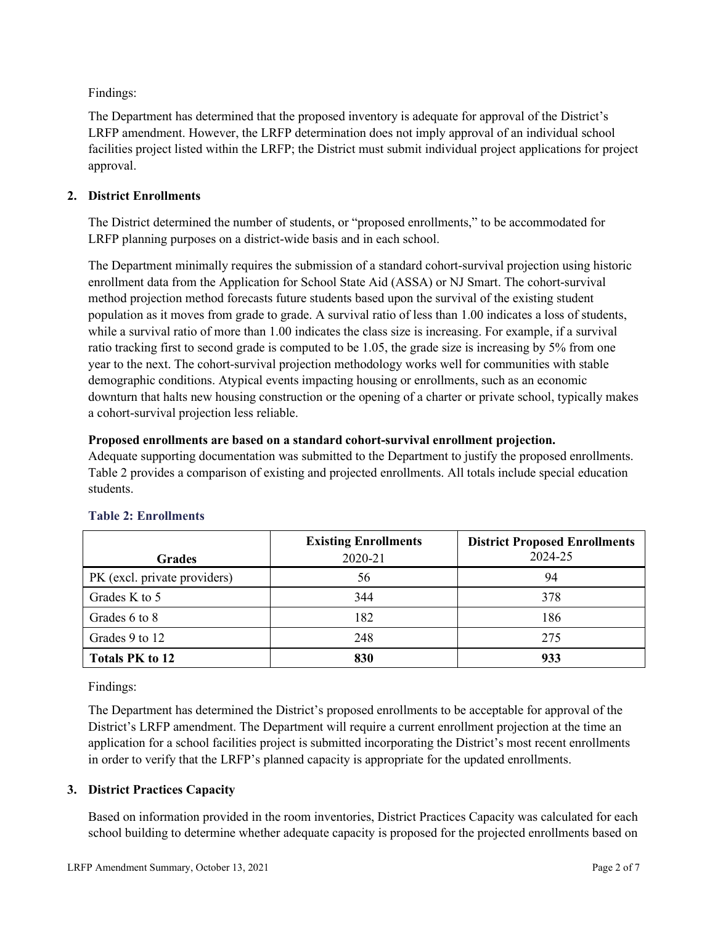Findings:

The Department has determined that the proposed inventory is adequate for approval of the District's LRFP amendment. However, the LRFP determination does not imply approval of an individual school facilities project listed within the LRFP; the District must submit individual project applications for project approval.

## **2. District Enrollments**

The District determined the number of students, or "proposed enrollments," to be accommodated for LRFP planning purposes on a district-wide basis and in each school.

The Department minimally requires the submission of a standard cohort-survival projection using historic enrollment data from the Application for School State Aid (ASSA) or NJ Smart. The cohort-survival method projection method forecasts future students based upon the survival of the existing student population as it moves from grade to grade. A survival ratio of less than 1.00 indicates a loss of students, while a survival ratio of more than 1.00 indicates the class size is increasing. For example, if a survival ratio tracking first to second grade is computed to be 1.05, the grade size is increasing by 5% from one year to the next. The cohort-survival projection methodology works well for communities with stable demographic conditions. Atypical events impacting housing or enrollments, such as an economic downturn that halts new housing construction or the opening of a charter or private school, typically makes a cohort-survival projection less reliable.

#### **Proposed enrollments are based on a standard cohort-survival enrollment projection.**

Adequate supporting documentation was submitted to the Department to justify the proposed enrollments. Table 2 provides a comparison of existing and projected enrollments. All totals include special education students.

|                              | <b>Existing Enrollments</b> | <b>District Proposed Enrollments</b> |
|------------------------------|-----------------------------|--------------------------------------|
| <b>Grades</b>                | 2020-21                     | 2024-25                              |
| PK (excl. private providers) | 56                          | 94                                   |
| Grades K to 5                | 344                         | 378                                  |
| Grades 6 to 8                | 182                         | 186                                  |
| Grades 9 to 12               | 248                         | 275                                  |
| <b>Totals PK to 12</b>       | 830                         | 933                                  |

## **Table 2: Enrollments**

Findings:

The Department has determined the District's proposed enrollments to be acceptable for approval of the District's LRFP amendment. The Department will require a current enrollment projection at the time an application for a school facilities project is submitted incorporating the District's most recent enrollments in order to verify that the LRFP's planned capacity is appropriate for the updated enrollments.

## **3. District Practices Capacity**

Based on information provided in the room inventories, District Practices Capacity was calculated for each school building to determine whether adequate capacity is proposed for the projected enrollments based on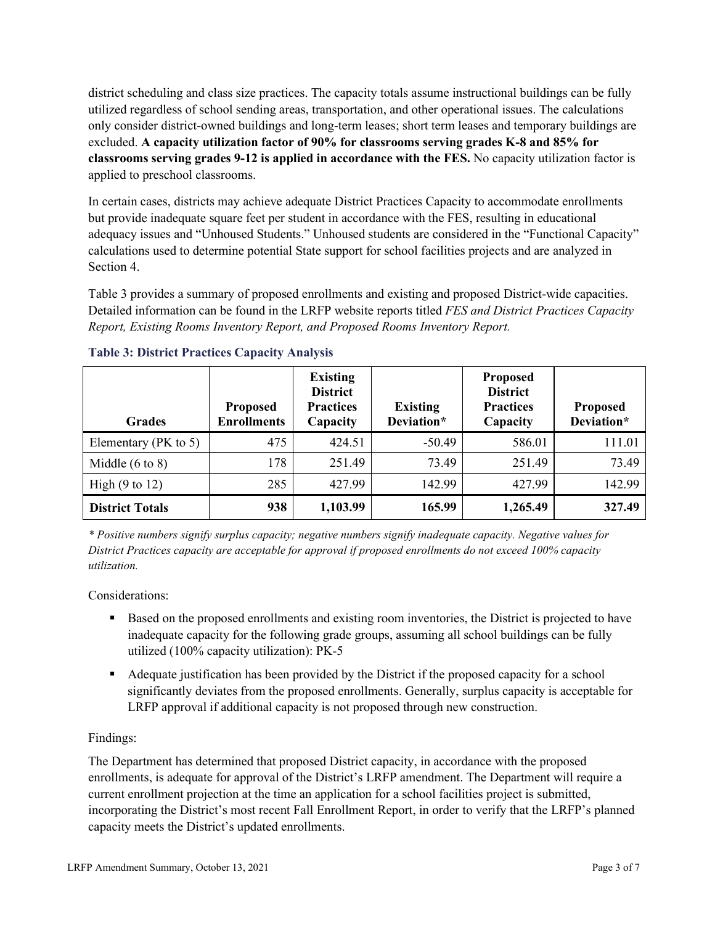district scheduling and class size practices. The capacity totals assume instructional buildings can be fully utilized regardless of school sending areas, transportation, and other operational issues. The calculations only consider district-owned buildings and long-term leases; short term leases and temporary buildings are excluded. **A capacity utilization factor of 90% for classrooms serving grades K-8 and 85% for classrooms serving grades 9-12 is applied in accordance with the FES.** No capacity utilization factor is applied to preschool classrooms.

In certain cases, districts may achieve adequate District Practices Capacity to accommodate enrollments but provide inadequate square feet per student in accordance with the FES, resulting in educational adequacy issues and "Unhoused Students." Unhoused students are considered in the "Functional Capacity" calculations used to determine potential State support for school facilities projects and are analyzed in Section 4.

Table 3 provides a summary of proposed enrollments and existing and proposed District-wide capacities. Detailed information can be found in the LRFP website reports titled *FES and District Practices Capacity Report, Existing Rooms Inventory Report, and Proposed Rooms Inventory Report.*

| <b>Grades</b>              | <b>Proposed</b><br><b>Enrollments</b> | <b>Existing</b><br><b>District</b><br><b>Practices</b><br>Capacity | <b>Existing</b><br>Deviation* | <b>Proposed</b><br><b>District</b><br><b>Practices</b><br>Capacity | <b>Proposed</b><br>Deviation* |
|----------------------------|---------------------------------------|--------------------------------------------------------------------|-------------------------------|--------------------------------------------------------------------|-------------------------------|
| Elementary ( $PK$ to 5)    | 475                                   | 424.51                                                             | $-50.49$                      | 586.01                                                             | 111.01                        |
| Middle $(6 \text{ to } 8)$ | 178                                   | 251.49                                                             | 73.49                         | 251.49                                                             | 73.49                         |
| High $(9 \text{ to } 12)$  | 285                                   | 427.99                                                             | 142.99                        | 427.99                                                             | 142.99                        |
| <b>District Totals</b>     | 938                                   | 1,103.99                                                           | 165.99                        | 1,265.49                                                           | 327.49                        |

## **Table 3: District Practices Capacity Analysis**

*\* Positive numbers signify surplus capacity; negative numbers signify inadequate capacity. Negative values for District Practices capacity are acceptable for approval if proposed enrollments do not exceed 100% capacity utilization.*

Considerations:

- Based on the proposed enrollments and existing room inventories, the District is projected to have inadequate capacity for the following grade groups, assuming all school buildings can be fully utilized (100% capacity utilization): PK-5
- Adequate justification has been provided by the District if the proposed capacity for a school significantly deviates from the proposed enrollments. Generally, surplus capacity is acceptable for LRFP approval if additional capacity is not proposed through new construction.

## Findings:

The Department has determined that proposed District capacity, in accordance with the proposed enrollments, is adequate for approval of the District's LRFP amendment. The Department will require a current enrollment projection at the time an application for a school facilities project is submitted, incorporating the District's most recent Fall Enrollment Report, in order to verify that the LRFP's planned capacity meets the District's updated enrollments.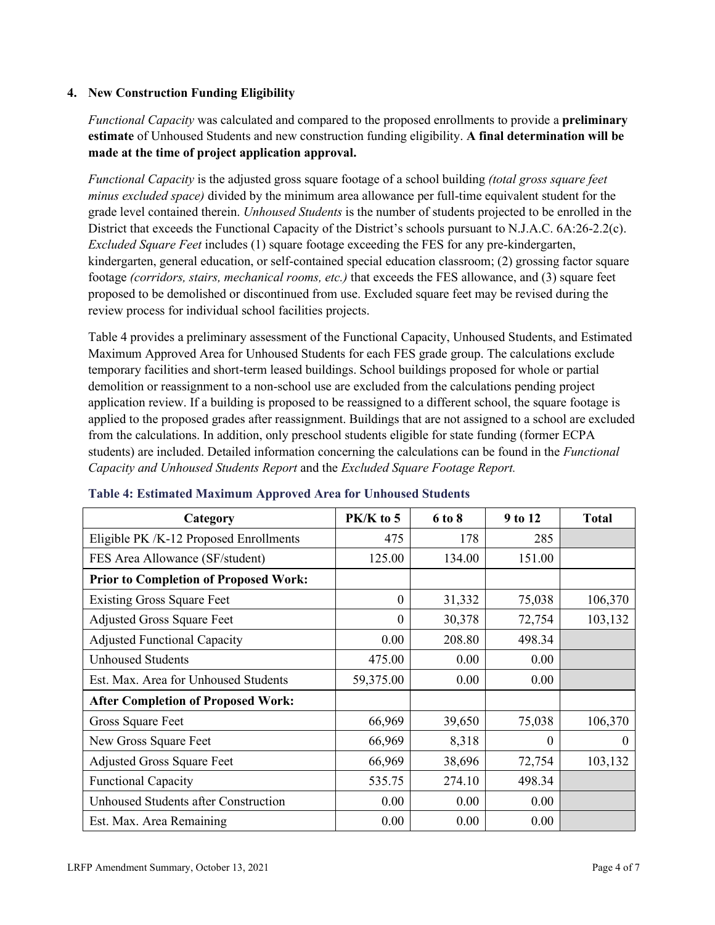#### **4. New Construction Funding Eligibility**

*Functional Capacity* was calculated and compared to the proposed enrollments to provide a **preliminary estimate** of Unhoused Students and new construction funding eligibility. **A final determination will be made at the time of project application approval.**

*Functional Capacity* is the adjusted gross square footage of a school building *(total gross square feet minus excluded space)* divided by the minimum area allowance per full-time equivalent student for the grade level contained therein. *Unhoused Students* is the number of students projected to be enrolled in the District that exceeds the Functional Capacity of the District's schools pursuant to N.J.A.C. 6A:26-2.2(c). *Excluded Square Feet* includes (1) square footage exceeding the FES for any pre-kindergarten, kindergarten, general education, or self-contained special education classroom; (2) grossing factor square footage *(corridors, stairs, mechanical rooms, etc.)* that exceeds the FES allowance, and (3) square feet proposed to be demolished or discontinued from use. Excluded square feet may be revised during the review process for individual school facilities projects.

Table 4 provides a preliminary assessment of the Functional Capacity, Unhoused Students, and Estimated Maximum Approved Area for Unhoused Students for each FES grade group. The calculations exclude temporary facilities and short-term leased buildings. School buildings proposed for whole or partial demolition or reassignment to a non-school use are excluded from the calculations pending project application review. If a building is proposed to be reassigned to a different school, the square footage is applied to the proposed grades after reassignment. Buildings that are not assigned to a school are excluded from the calculations. In addition, only preschool students eligible for state funding (former ECPA students) are included. Detailed information concerning the calculations can be found in the *Functional Capacity and Unhoused Students Report* and the *Excluded Square Footage Report.*

| Category                                     | PK/K to 5        | 6 to 8 | 9 to 12  | <b>Total</b> |
|----------------------------------------------|------------------|--------|----------|--------------|
| Eligible PK /K-12 Proposed Enrollments       | 475              | 178    | 285      |              |
| FES Area Allowance (SF/student)              | 125.00           | 134.00 | 151.00   |              |
| <b>Prior to Completion of Proposed Work:</b> |                  |        |          |              |
| <b>Existing Gross Square Feet</b>            | $\theta$         | 31,332 | 75,038   | 106,370      |
| <b>Adjusted Gross Square Feet</b>            | $\boldsymbol{0}$ | 30,378 | 72,754   | 103,132      |
| <b>Adjusted Functional Capacity</b>          | 0.00             | 208.80 | 498.34   |              |
| <b>Unhoused Students</b>                     | 475.00           | 0.00   | 0.00     |              |
| Est. Max. Area for Unhoused Students         | 59,375.00        | 0.00   | 0.00     |              |
| <b>After Completion of Proposed Work:</b>    |                  |        |          |              |
| Gross Square Feet                            | 66,969           | 39,650 | 75,038   | 106,370      |
| New Gross Square Feet                        | 66,969           | 8,318  | $\Omega$ | $\Omega$     |
| <b>Adjusted Gross Square Feet</b>            | 66,969           | 38,696 | 72,754   | 103,132      |
| <b>Functional Capacity</b>                   | 535.75           | 274.10 | 498.34   |              |
| Unhoused Students after Construction         | 0.00             | 0.00   | 0.00     |              |
| Est. Max. Area Remaining                     | 0.00             | 0.00   | 0.00     |              |

#### **Table 4: Estimated Maximum Approved Area for Unhoused Students**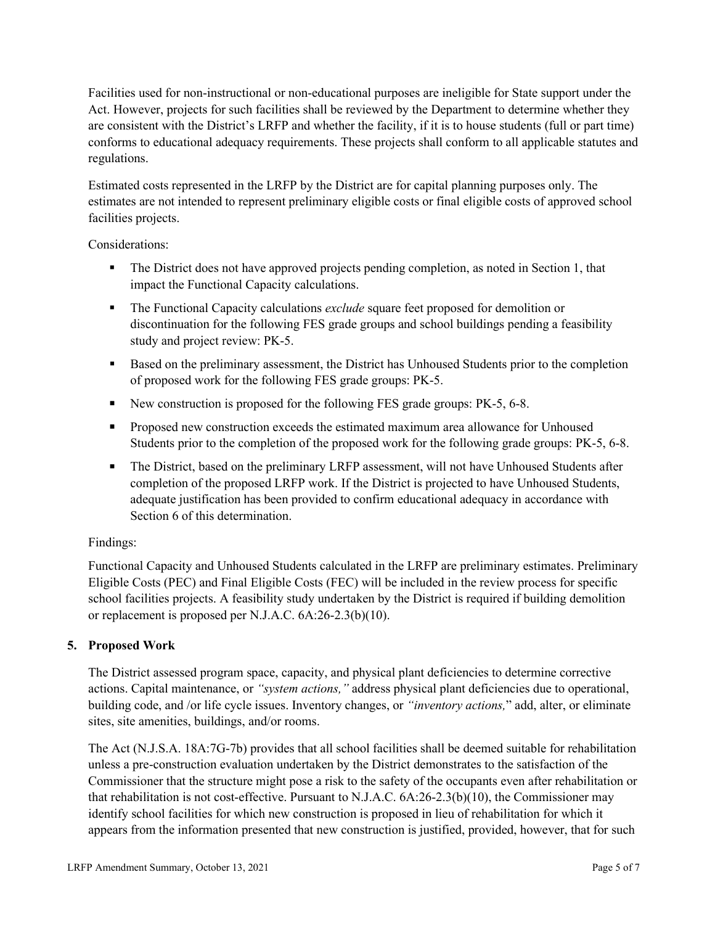Facilities used for non-instructional or non-educational purposes are ineligible for State support under the Act. However, projects for such facilities shall be reviewed by the Department to determine whether they are consistent with the District's LRFP and whether the facility, if it is to house students (full or part time) conforms to educational adequacy requirements. These projects shall conform to all applicable statutes and regulations.

Estimated costs represented in the LRFP by the District are for capital planning purposes only. The estimates are not intended to represent preliminary eligible costs or final eligible costs of approved school facilities projects.

Considerations:

- The District does not have approved projects pending completion, as noted in Section 1, that impact the Functional Capacity calculations.
- **The Functional Capacity calculations** *exclude* square feet proposed for demolition or discontinuation for the following FES grade groups and school buildings pending a feasibility study and project review: PK-5.
- **Based on the preliminary assessment, the District has Unhoused Students prior to the completion** of proposed work for the following FES grade groups: PK-5.
- New construction is proposed for the following FES grade groups: PK-5, 6-8.
- Proposed new construction exceeds the estimated maximum area allowance for Unhoused Students prior to the completion of the proposed work for the following grade groups: PK-5, 6-8.
- The District, based on the preliminary LRFP assessment, will not have Unhoused Students after completion of the proposed LRFP work. If the District is projected to have Unhoused Students, adequate justification has been provided to confirm educational adequacy in accordance with Section 6 of this determination.

## Findings:

Functional Capacity and Unhoused Students calculated in the LRFP are preliminary estimates. Preliminary Eligible Costs (PEC) and Final Eligible Costs (FEC) will be included in the review process for specific school facilities projects. A feasibility study undertaken by the District is required if building demolition or replacement is proposed per N.J.A.C. 6A:26-2.3(b)(10).

## **5. Proposed Work**

The District assessed program space, capacity, and physical plant deficiencies to determine corrective actions. Capital maintenance, or *"system actions,"* address physical plant deficiencies due to operational, building code, and /or life cycle issues. Inventory changes, or *"inventory actions,*" add, alter, or eliminate sites, site amenities, buildings, and/or rooms.

The Act (N.J.S.A. 18A:7G-7b) provides that all school facilities shall be deemed suitable for rehabilitation unless a pre-construction evaluation undertaken by the District demonstrates to the satisfaction of the Commissioner that the structure might pose a risk to the safety of the occupants even after rehabilitation or that rehabilitation is not cost-effective. Pursuant to N.J.A.C. 6A:26-2.3(b)(10), the Commissioner may identify school facilities for which new construction is proposed in lieu of rehabilitation for which it appears from the information presented that new construction is justified, provided, however, that for such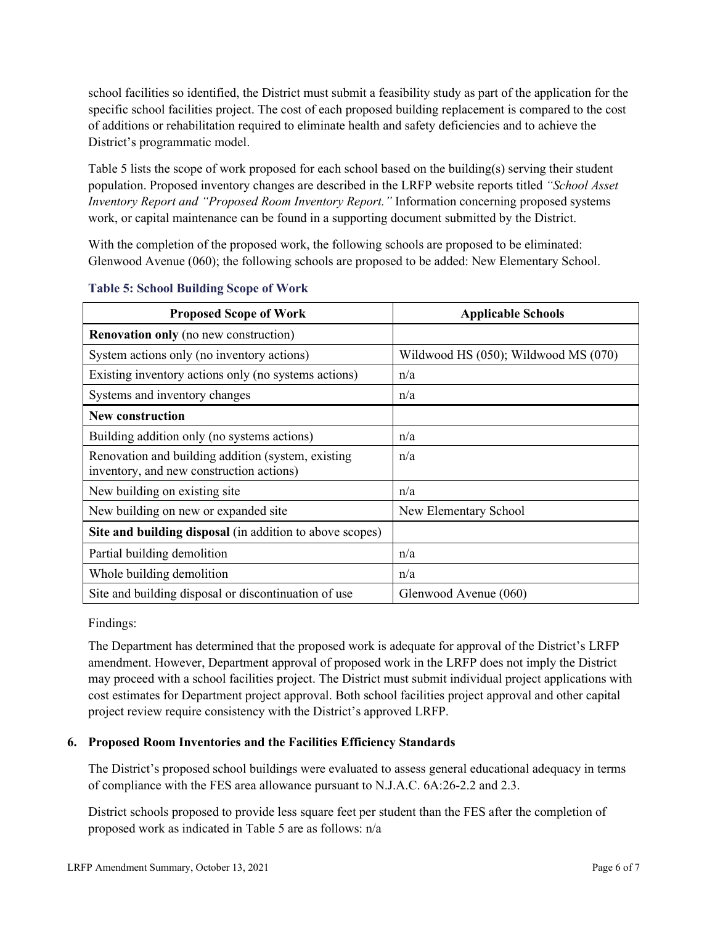school facilities so identified, the District must submit a feasibility study as part of the application for the specific school facilities project. The cost of each proposed building replacement is compared to the cost of additions or rehabilitation required to eliminate health and safety deficiencies and to achieve the District's programmatic model.

Table 5 lists the scope of work proposed for each school based on the building(s) serving their student population. Proposed inventory changes are described in the LRFP website reports titled *"School Asset Inventory Report and "Proposed Room Inventory Report."* Information concerning proposed systems work, or capital maintenance can be found in a supporting document submitted by the District.

With the completion of the proposed work, the following schools are proposed to be eliminated: Glenwood Avenue (060); the following schools are proposed to be added: New Elementary School.

| <b>Proposed Scope of Work</b>                                                                  | <b>Applicable Schools</b>            |
|------------------------------------------------------------------------------------------------|--------------------------------------|
| <b>Renovation only</b> (no new construction)                                                   |                                      |
| System actions only (no inventory actions)                                                     | Wildwood HS (050); Wildwood MS (070) |
| Existing inventory actions only (no systems actions)                                           | n/a                                  |
| Systems and inventory changes                                                                  | n/a                                  |
| <b>New construction</b>                                                                        |                                      |
| Building addition only (no systems actions)                                                    | n/a                                  |
| Renovation and building addition (system, existing<br>inventory, and new construction actions) | n/a                                  |
| New building on existing site                                                                  | n/a                                  |
| New building on new or expanded site                                                           | New Elementary School                |
| Site and building disposal (in addition to above scopes)                                       |                                      |
| Partial building demolition                                                                    | n/a                                  |
| Whole building demolition                                                                      | n/a                                  |
| Site and building disposal or discontinuation of use                                           | Glenwood Avenue (060)                |

#### **Table 5: School Building Scope of Work**

Findings:

The Department has determined that the proposed work is adequate for approval of the District's LRFP amendment. However, Department approval of proposed work in the LRFP does not imply the District may proceed with a school facilities project. The District must submit individual project applications with cost estimates for Department project approval. Both school facilities project approval and other capital project review require consistency with the District's approved LRFP.

## **6. Proposed Room Inventories and the Facilities Efficiency Standards**

The District's proposed school buildings were evaluated to assess general educational adequacy in terms of compliance with the FES area allowance pursuant to N.J.A.C. 6A:26-2.2 and 2.3.

District schools proposed to provide less square feet per student than the FES after the completion of proposed work as indicated in Table 5 are as follows: n/a